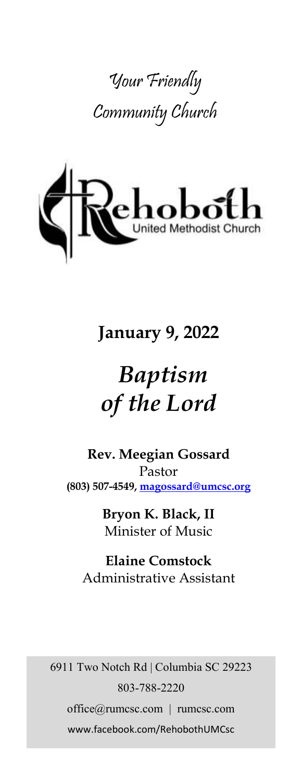



# **January 9, 2022**

# *Baptism of the Lord*

**Rev. Meegian Gossard** Pastor **(803) 507-4549, magossard@umcsc.org**

> **Bryon K. Black, II** Minister of Music

**Elaine Comstock** Administrative Assistant

6911 Two Notch Rd | Columbia SC 29223 803-788-2220 office@rumcsc.com | rumcsc.com www.facebook.com/RehobothUMCsc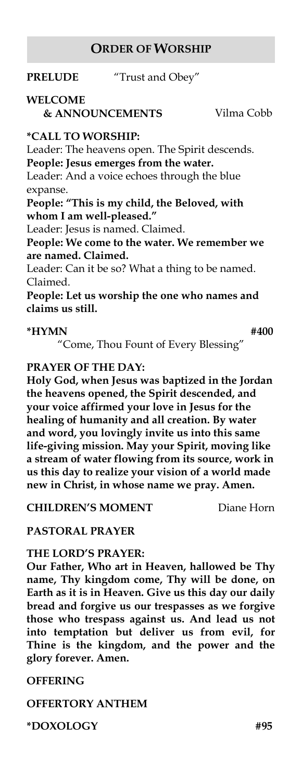#### **ORDER OF WORSHIP**

**PRELUDE** "Trust and Obey"

# **WELCOME**

 **& ANNOUNCEMENTS** Vilma Cobb

#### **\*CALL TO WORSHIP:**

Leader: The heavens open. The Spirit descends. **People: Jesus emerges from the water.**

Leader: And a voice echoes through the blue expanse.

**People: "This is my child, the Beloved, with whom I am well-pleased."**

Leader: Jesus is named. Claimed.

**People: We come to the water. We remember we are named. Claimed.**

Leader: Can it be so? What a thing to be named. Claimed.

**People: Let us worship the one who names and claims us still.**

#### **\*HYMN #400**

"Come, Thou Fount of Every Blessing"

#### **PRAYER OF THE DAY:**

**Holy God, when Jesus was baptized in the Jordan the heavens opened, the Spirit descended, and your voice affirmed your love in Jesus for the healing of humanity and all creation. By water and word, you lovingly invite us into this same life-giving mission. May your Spirit, moving like a stream of water flowing from its source, work in us this day to realize your vision of a world made new in Christ, in whose name we pray. Amen.**

**CHILDREN'S MOMENT** Diane Horn

#### **PASTORAL PRAYER**

#### **THE LORD'S PRAYER:**

**Our Father, Who art in Heaven, hallowed be Thy name, Thy kingdom come, Thy will be done, on Earth as it is in Heaven. Give us this day our daily bread and forgive us our trespasses as we forgive those who trespass against us. And lead us not into temptation but deliver us from evil, for Thine is the kingdom, and the power and the glory forever. Amen.** 

#### **OFFERING**

**OFFERTORY ANTHEM** 

**\*DOXOLOGY #95**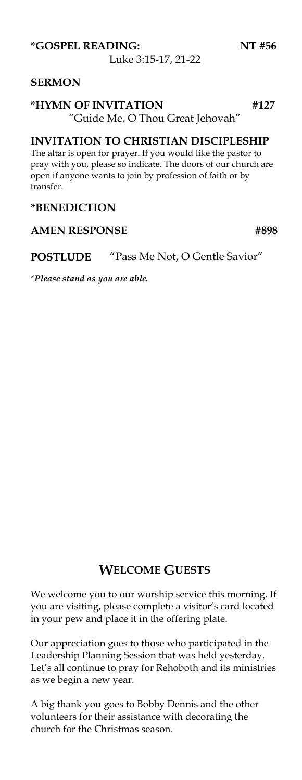Luke 3:15-17, 21-22

#### **SERMON**

#### **\*HYMN OF INVITATION #127**  "Guide Me, O Thou Great Jehovah"

#### **INVITATION TO CHRISTIAN DISCIPLESHIP**

The altar is open for prayer. If you would like the pastor to pray with you, please so indicate. The doors of our church are open if anyone wants to join by profession of faith or by transfer.

#### **\*BENEDICTION**

#### AMEN RESPONSE #898

**POSTLUDE** "Pass Me Not, O Gentle Savior"

*\*Please stand as you are able.*

# **WELCOME GUESTS**

We welcome you to our worship service this morning. If you are visiting, please complete a visitor's card located in your pew and place it in the offering plate.

Our appreciation goes to those who participated in the Leadership Planning Session that was held yesterday. Let's all continue to pray for Rehoboth and its ministries as we begin a new year.

A big thank you goes to Bobby Dennis and the other volunteers for their assistance with decorating the church for the Christmas season.